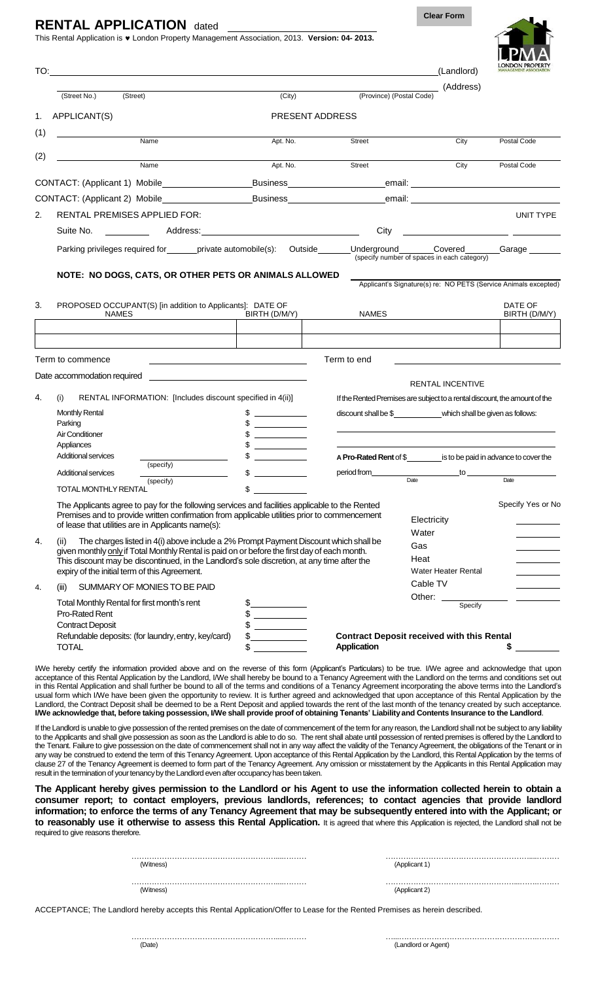## **RENTAL APPLICATION** dated

This Rental Application is London Property Management Association, 2013. **Version: 04- 2013.**

**Clear Form**



| TO:                                                                                                    |                                                                                                                                                                                                                                                                                                                                              |                                                                            |                                                                         | (Landlord)          | <b>MANAGEMENT ASSOCIATION</b>                                   |
|--------------------------------------------------------------------------------------------------------|----------------------------------------------------------------------------------------------------------------------------------------------------------------------------------------------------------------------------------------------------------------------------------------------------------------------------------------------|----------------------------------------------------------------------------|-------------------------------------------------------------------------|---------------------|-----------------------------------------------------------------|
|                                                                                                        | (Street No.)<br>(Street)                                                                                                                                                                                                                                                                                                                     | (City)                                                                     | (Province) (Postal Code)                                                | (Address)           |                                                                 |
| 1.                                                                                                     | APPLICANT(S)                                                                                                                                                                                                                                                                                                                                 | PRESENT ADDRESS                                                            |                                                                         |                     |                                                                 |
| (1)                                                                                                    | Name                                                                                                                                                                                                                                                                                                                                         | Apt. No.                                                                   | <b>Street</b>                                                           | City                | Postal Code                                                     |
| (2)                                                                                                    | Name                                                                                                                                                                                                                                                                                                                                         | Apt. No.                                                                   | Street                                                                  | City                | Postal Code                                                     |
|                                                                                                        | CONTACT: (Applicant 1) Mobile                                                                                                                                                                                                                                                                                                                |                                                                            |                                                                         |                     |                                                                 |
|                                                                                                        |                                                                                                                                                                                                                                                                                                                                              |                                                                            |                                                                         |                     |                                                                 |
| 2.                                                                                                     | RENTAL PREMISES APPLIED FOR:                                                                                                                                                                                                                                                                                                                 |                                                                            |                                                                         |                     | UNIT TYPE                                                       |
|                                                                                                        | Suite No.<br><u> 1990 - Jan Albert Barbara, politik politik (</u>                                                                                                                                                                                                                                                                            |                                                                            | City                                                                    |                     | <u> 1980 - Andrea Andrew Maria (h. 1980).</u>                   |
|                                                                                                        | Parking privileges required for examplicate automobile(s): Outside ______Underground ______Covered _______Garage ______                                                                                                                                                                                                                      |                                                                            | (specify number of spaces in each category)                             |                     |                                                                 |
|                                                                                                        | NOTE: NO DOGS, CATS, OR OTHER PETS OR ANIMALS ALLOWED                                                                                                                                                                                                                                                                                        |                                                                            |                                                                         |                     | Applicant's Signature(s) re: NO PETS (Service Animals excepted) |
| 3.                                                                                                     | PROPOSED OCCUPANT(S) [in addition to Applicants]: DATE OF<br><b>NAMES</b>                                                                                                                                                                                                                                                                    | BIRTH (D/M/Y)                                                              | <b>NAMES</b>                                                            |                     | DATE OF<br>BIRTH (D/M/Y)                                        |
|                                                                                                        |                                                                                                                                                                                                                                                                                                                                              |                                                                            |                                                                         |                     |                                                                 |
|                                                                                                        | Term to commence                                                                                                                                                                                                                                                                                                                             |                                                                            | Term to end                                                             |                     |                                                                 |
| Date accommodation required<br>4.<br>(i)<br>RENTAL INFORMATION: [Includes discount specified in 4(ii)] |                                                                                                                                                                                                                                                                                                                                              | If the Rented Premises are subject to a rental discount, the amount of the | RENTAL INCENTIVE                                                        |                     |                                                                 |
|                                                                                                        | <b>Monthly Rental</b>                                                                                                                                                                                                                                                                                                                        | \$<br>$\overline{\phantom{a}}$ . The contract of $\overline{\phantom{a}}$  | discount shall be \$_______________which shall be given as follows:     |                     |                                                                 |
|                                                                                                        | Parking                                                                                                                                                                                                                                                                                                                                      | the company of the company of                                              |                                                                         |                     |                                                                 |
|                                                                                                        | <b>Air Conditioner</b><br>Appliances                                                                                                                                                                                                                                                                                                         | <u>and the state of the state</u>                                          |                                                                         |                     |                                                                 |
|                                                                                                        | Additional services                                                                                                                                                                                                                                                                                                                          |                                                                            | A Pro-Rated Rent of $\$\$ is to be paid in advance to cover the         |                     |                                                                 |
|                                                                                                        | (specify)<br>Additional services                                                                                                                                                                                                                                                                                                             | \$                                                                         |                                                                         |                     |                                                                 |
|                                                                                                        | (specify)<br>TOTAL MONTHLY RENTAL                                                                                                                                                                                                                                                                                                            | $\sim$                                                                     | Date                                                                    |                     | Date                                                            |
|                                                                                                        | The Applicants agree to pay for the following services and facilities applicable to the Rented<br>Premises and to provide written confirmation from applicable utilities prior to commencement<br>of lease that utilities are in Applicants name(s):                                                                                         |                                                                            | Water                                                                   | Electricity         | Specify Yes or No                                               |
| 4.                                                                                                     | The charges listed in 4(i) above include a 2% Prompt Payment Discount which shall be<br>(ii)<br>given monthly only if Total Monthly Rental is paid on or before the first day of each month.<br>This discount may be discontinued, in the Landlord's sole discretion, at any time after the<br>expiry of the initial term of this Agreement. |                                                                            | Gas<br>Heat                                                             | Water Heater Rental |                                                                 |
| 4.                                                                                                     | SUMMARY OF MONIES TO BE PAID<br>(iii)                                                                                                                                                                                                                                                                                                        |                                                                            |                                                                         | Cable TV            |                                                                 |
|                                                                                                        | Total Monthly Rental for first month's rent<br>Pro-Rated Rent<br><b>Contract Deposit</b>                                                                                                                                                                                                                                                     | $\frac{1}{2}$<br>$\frac{1}{2}$                                             | Other:                                                                  | Specify             |                                                                 |
|                                                                                                        | Refundable deposits: (for laundry, entry, key/card)<br><b>TOTAL</b>                                                                                                                                                                                                                                                                          | $\frac{1}{2}$<br>\$                                                        | <b>Contract Deposit received with this Rental</b><br><b>Application</b> |                     | \$                                                              |
|                                                                                                        | IWe hereby certify the information provided above and on the reverse of this form (Applicant's Particulars) to be true. IWe agree and acknowledge that upon                                                                                                                                                                                  |                                                                            |                                                                         |                     |                                                                 |

I/We hereby certify the information provided above and on the reverse of this form (Applicant's Particulars) to be true. I/We agree and acknowledge that upon acceptance of this Rental Application by the Landlord, I/We shall hereby be bound to a Tenancy Agreement with the Landlord on the terms and conditions set out in this Rental Application and shall further be bound to all of the terms and conditions of a Tenancy Agreement incorporating the above terms into the Landlord's usual form which I/We have been given the opportunity to review. It is further agreed and acknowledged that upon acceptance of this Rental Application by the Landlord, the Contract Deposit shall be deemed to be a Rent Deposit and applied towards the rent of the last month of the tenancy created by such acceptance. I/We acknowledge that, before taking possession, I/We shall provide proof of obtaining Tenants' Liability and Contents Insurance to the Landlord.

If the Landlord is unable to give possession of the rented premises on the date of commencement of the term for any reason, the Landlord shall not be subject to any liability to the Applicants and shall give possession as soon as the Landlord is able to do so. The rent shall abate until possession of rented premises is offered by the Landlord to the Tenant. Failure to give possession on the date of commencement shall not in any way affect the validity of the Tenancy Agreement, the obligations of the Tenant or in any way be construed to extend the term of this Tenancy Agreement. Upon acceptance of this Rental Application by the Landlord, this Rental Application by the terms of clause 27 of the Tenancy Agreement is deemed to form part of the Tenancy Agreement. Any omission or misstatement by the Applicants in this Rental Application may result in the termination of your tenancy by the Landlord even after occupancy has been taken.

**The Applicant hereby gives permission to the Landlord or his Agent to use the information collected herein to obtain a consumer report; to contact employers, previous landlords, references; to contact agencies that provide landlord information; to enforce the terms of any Tenancy Agreement that may be subsequently entered into with the Applicant; or to reasonably use it otherwise to assess this Rental Application.** It is agreed that where this Application is rejected, the Landlord shall not be required to give reasons therefore.

| (Witness) | (Applicant 1) |  |
|-----------|---------------|--|
| (Witness) | (Applicant 2) |  |

ACCEPTANCE; The Landlord hereby accepts this Rental Application/Offer to Lease for the Rented Premises as herein described.